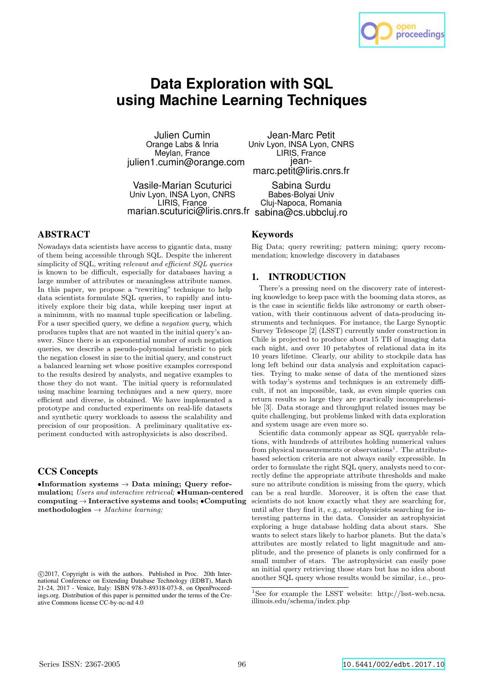

# **Data Exploration with SQL using Machine Learning Techniques**

Julien Cumin Orange Labs & Inria Meylan, France julien1.cumin@orange.com

Jean-Marc Petit Univ Lyon, INSA Lyon, CNRS LIRIS, France jeanmarc.petit@liris.cnrs.fr

Vasile-Marian Scuturici Univ Lyon, INSA Lyon, CNRS LIRIS, France marian.scuturici@liris.cnrs.fr sabina@cs.ubbcluj.ro Sabina Surdu Babes-Bolyai Univ Cluj-Napoca, Romania

# ABSTRACT

Nowadays data scientists have access to gigantic data, many of them being accessible through SQL. Despite the inherent simplicity of SQL, writing relevant and efficient SQL queries is known to be difficult, especially for databases having a large number of attributes or meaningless attribute names. In this paper, we propose a "rewriting" technique to help data scientists formulate SQL queries, to rapidly and intuitively explore their big data, while keeping user input at a minimum, with no manual tuple specification or labeling. For a user specified query, we define a negation query, which produces tuples that are not wanted in the initial query's answer. Since there is an exponential number of such negation queries, we describe a pseudo-polynomial heuristic to pick the negation closest in size to the initial query, and construct a balanced learning set whose positive examples correspond to the results desired by analysts, and negative examples to those they do not want. The initial query is reformulated using machine learning techniques and a new query, more efficient and diverse, is obtained. We have implemented a prototype and conducted experiments on real-life datasets and synthetic query workloads to assess the scalability and precision of our proposition. A preliminary qualitative experiment conducted with astrophysicists is also described.

# CCS Concepts

 $\bullet$ Information systems  $\to$  Data mining; Query reformulation; Users and interactive retrieval; •Human-centered computing → Interactive systems and tools; •Computing methodologies  $\rightarrow$  Machine learning;

# Keywords

Big Data; query rewriting; pattern mining; query recommendation; knowledge discovery in databases

# 1. INTRODUCTION

There's a pressing need on the discovery rate of interesting knowledge to keep pace with the booming data stores, as is the case in scientific fields like astronomy or earth observation, with their continuous advent of data-producing instruments and techniques. For instance, the Large Synoptic Survey Telescope [2] (LSST) currently under construction in Chile is projected to produce about 15 TB of imaging data each night, and over 10 petabytes of relational data in its 10 years lifetime. Clearly, our ability to stockpile data has long left behind our data analysis and exploitation capacities. Trying to make sense of data of the mentioned sizes with today's systems and techniques is an extremely difficult, if not an impossible, task, as even simple queries can return results so large they are practically incomprehensible [3]. Data storage and throughput related issues may be quite challenging, but problems linked with data exploration and system usage are even more so.

Scientific data commonly appear as SQL queryable relations, with hundreds of attributes holding numerical values from physical measurements or observations<sup>1</sup>. The attributebased selection criteria are not always easily expressible. In order to formulate the right SQL query, analysts need to correctly define the appropriate attribute thresholds and make sure no attribute condition is missing from the query, which can be a real hurdle. Moreover, it is often the case that scientists do not know exactly what they are searching for, until after they find it, e.g., astrophysicists searching for interesting patterns in the data. Consider an astrophysicist exploring a huge database holding data about stars. She wants to select stars likely to harbor planets. But the data's attributes are mostly related to light magnitude and amplitude, and the presence of planets is only confirmed for a small number of stars. The astrophysicist can easily pose an initial query retrieving those stars but has no idea about another SQL query whose results would be similar, i.e., pro-

c 2017, Copyright is with the authors. Published in Proc. 20th International Conference on Extending Database Technology (EDBT), March 21-24, 2017 - Venice, Italy: ISBN 978-3-89318-073-8, on OpenProceedings.org. Distribution of this paper is permitted under the terms of the Creative Commons license CC-by-nc-nd 4.0

<sup>1</sup>See for example the LSST website: http://lsst-web.ncsa. illinois.edu/schema/index.php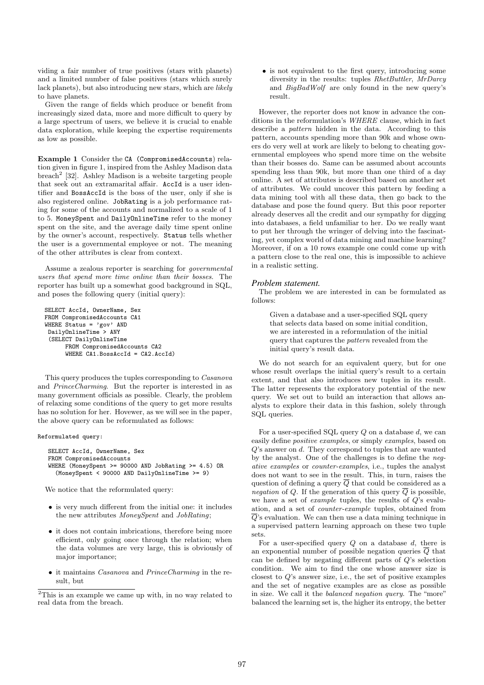viding a fair number of true positives (stars with planets) and a limited number of false positives (stars which surely lack planets), but also introducing new stars, which are likely to have planets.

Given the range of fields which produce or benefit from increasingly sized data, more and more difficult to query by a large spectrum of users, we believe it is crucial to enable data exploration, while keeping the expertise requirements as low as possible.

Example 1 Consider the CA (CompromisedAccounts) relation given in figure 1, inspired from the Ashley Madison data breach<sup>2</sup> [32]. Ashley Madison is a website targeting people that seek out an extramarital affair. AccId is a user identifier and BossAccId is the boss of the user, only if she is also registered online. JobRating is a job performance rating for some of the accounts and normalized to a scale of 1 to 5. MoneySpent and DailyOnlineTime refer to the money spent on the site, and the average daily time spent online by the owner's account, respectively. Status tells whether the user is a governmental employee or not. The meaning of the other attributes is clear from context.

Assume a zealous reporter is searching for governmental users that spend more time online than their bosses. The reporter has built up a somewhat good background in SQL, and poses the following query (initial query):

SELECT AccId, OwnerName, Sex FROM CompromisedAccounts CA1 WHERE Status = 'gov' AND DailyOnlineTime > ANY (SELECT DailyOnlineTime FROM CompromisedAccounts CA2 WHERE CA1.BossAccId = CA2.AccId)

This query produces the tuples corresponding to Casanova and PrinceCharming. But the reporter is interested in as many government officials as possible. Clearly, the problem of relaxing some conditions of the query to get more results has no solution for her. Hovewer, as we will see in the paper, the above query can be reformulated as follows:

#### Reformulated query:

```
SELECT AccId, OwnerName, Sex
FROM CompromisedAccounts
WHERE (MoneySpent >= 90000 AND JobRating >= 4.5) OR
 (MoneySpent < 90000 AND DailyOnlineTime >= 9)
```
We notice that the reformulated query:

- is very much different from the initial one: it includes the new attributes MoneySpent and JobRating;
- it does not contain imbrications, therefore being more efficient, only going once through the relation; when the data volumes are very large, this is obviously of major importance;
- it maintains Casanova and PrinceCharming in the result, but

• is not equivalent to the first query, introducing some diversity in the results: tuples RhetButtler, MrDarcy and BigBadWolf are only found in the new query's result.

However, the reporter does not know in advance the conditions in the reformulation's WHERE clause, which in fact describe a pattern hidden in the data. According to this pattern, accounts spending more than 90k and whose owners do very well at work are likely to belong to cheating governmental employees who spend more time on the website than their bosses do. Same can be assumed about accounts spending less than 90k, but more than one third of a day online. A set of attributes is described based on another set of attributes. We could uncover this pattern by feeding a data mining tool with all these data, then go back to the database and pose the found query. But this poor reporter already deserves all the credit and our sympathy for digging into databases, a field unfamiliar to her. Do we really want to put her through the wringer of delving into the fascinating, yet complex world of data mining and machine learning? Moreover, if on a 10 rows example one could come up with a pattern close to the real one, this is impossible to achieve in a realistic setting.

#### *Problem statement.*

The problem we are interested in can be formulated as follows:

Given a database and a user-specified SQL query that selects data based on some initial condition, we are interested in a reformulation of the initial query that captures the pattern revealed from the initial query's result data.

We do not search for an equivalent query, but for one whose result overlaps the initial query's result to a certain extent, and that also introduces new tuples in its result. The latter represents the exploratory potential of the new query. We set out to build an interaction that allows analysts to explore their data in this fashion, solely through SQL queries.

For a user-specified SQL query  $Q$  on a database  $d$ , we can easily define positive examples, or simply examples, based on Q's answer on d. They correspond to tuples that are wanted by the analyst. One of the challenges is to define the negative examples or counter-examples, i.e., tuples the analyst does not want to see in the result. This, in turn, raises the question of defining a query  $\overline{Q}$  that could be considered as a negation of Q. If the generation of this query  $\overline{Q}$  is possible, we have a set of example tuples, the results of Q's evaluation, and a set of counter-example tuples, obtained from  $\overline{Q}$ 's evaluation. We can then use a data mining technique in a supervised pattern learning approach on these two tuple sets.

For a user-specified query  $Q$  on a database  $d$ , there is an exponential number of possible negation queries  $\overline{Q}$  that can be defined by negating different parts of Q's selection condition. We aim to find the one whose answer size is closest to  $Q$ 's answer size, i.e., the set of positive examples and the set of negative examples are as close as possible in size. We call it the balanced negation query. The "more" balanced the learning set is, the higher its entropy, the better

<sup>2</sup>This is an example we came up with, in no way related to real data from the breach.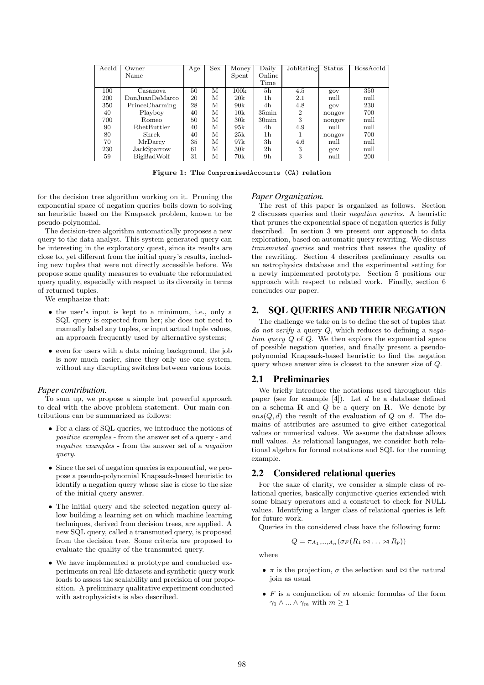| AccId | Owner              | Age | <b>Sex</b> | Money | Daily             | JobRating      | Status | BossAccId |
|-------|--------------------|-----|------------|-------|-------------------|----------------|--------|-----------|
|       | Name               |     |            | Spent | Online            |                |        |           |
|       |                    |     |            |       | Time              |                |        |           |
| 100   | Casanova           | 50  | М          | 100k  | 5 <sub>h</sub>    | 4.5            | gov    | 350       |
| 200   | Don.JuanDeMarco    | 20  | М          | 20k   | 1h                | 2.1            | null   | null      |
| 350   | PrinceCharming     | 28  | М          | 90k   | 4h                | 4.8            | gov    | 230       |
| 40    | Playboy            | 40  | М          | 10k   | $35\text{min}$    | $\overline{2}$ | nongov | 700       |
| 700   | Romeo              | 50  | М          | 30k   | 30 <sub>min</sub> | 3              | nongov | null      |
| 90    | <b>RhetButtler</b> | 40  | М          | 95k   | 4h                | 4.9            | null   | null      |
| 80    | Shrek              | 40  | М          | 25k   | 1h                |                | nongov | 700       |
| 70    | MrDarcy            | 35  | М          | 97k   | 3h                | 4.6            | null   | null      |
| 230   | JackSparrow        | 61  | М          | 30k   | 2 <sub>h</sub>    | 3              | gov    | null      |
| 59    | BigBadWolf         | 31  | М          | 70k   | 9 <sub>h</sub>    | 3              | null   | 200       |

Figure 1: The CompromisedAccounts (CA) relation

for the decision tree algorithm working on it. Pruning the exponential space of negation queries boils down to solving an heuristic based on the Knapsack problem, known to be pseudo-polynomial.

The decision-tree algorithm automatically proposes a new query to the data analyst. This system-generated query can be interesting in the exploratory quest, since its results are close to, yet different from the initial query's results, including new tuples that were not directly accessible before. We propose some quality measures to evaluate the reformulated query quality, especially with respect to its diversity in terms of returned tuples.

We emphasize that:

- the user's input is kept to a minimum, i.e., only a SQL query is expected from her; she does not need to manually label any tuples, or input actual tuple values, an approach frequently used by alternative systems;
- even for users with a data mining background, the job is now much easier, since they only use one system, without any disrupting switches between various tools.

## *Paper contribution.*

To sum up, we propose a simple but powerful approach to deal with the above problem statement. Our main contributions can be summarized as follows:

- For a class of SQL queries, we introduce the notions of positive examples - from the answer set of a query - and negative examples - from the answer set of a negation query.
- Since the set of negation queries is exponential, we propose a pseudo-polynomial Knapsack-based heuristic to identify a negation query whose size is close to the size of the initial query answer.
- The initial query and the selected negation query allow building a learning set on which machine learning techniques, derived from decision trees, are applied. A new SQL query, called a transmuted query, is proposed from the decision tree. Some criteria are proposed to evaluate the quality of the transmuted query.
- We have implemented a prototype and conducted experiments on real-life datasets and synthetic query workloads to assess the scalability and precision of our proposition. A preliminary qualitative experiment conducted with astrophysicists is also described.

## *Paper Organization.*

The rest of this paper is organized as follows. Section 2 discusses queries and their negation queries. A heuristic that prunes the exponential space of negation queries is fully described. In section 3 we present our approach to data exploration, based on automatic query rewriting. We discuss transmuted queries and metrics that assess the quality of the rewriting. Section 4 describes preliminary results on an astrophysics database and the experimental setting for a newly implemented prototype. Section 5 positions our approach with respect to related work. Finally, section 6 concludes our paper.

# 2. SQL QUERIES AND THEIR NEGATION

The challenge we take on is to define the set of tuples that do not verify a query  $Q$ , which reduces to defining a negation query  $\overline{Q}$  of Q. We then explore the exponential space of possible negation queries, and finally present a pseudopolynomial Knapsack-based heuristic to find the negation query whose answer size is closest to the answer size of Q.

# 2.1 Preliminaries

We briefly introduce the notations used throughout this paper (see for example  $[4]$ ). Let d be a database defined on a schema  $\bf{R}$  and  $\bf{Q}$  be a query on  $\bf{R}$ . We denote by  $ans(Q, d)$  the result of the evaluation of Q on d. The domains of attributes are assumed to give either categorical values or numerical values. We assume the database allows null values. As relational languages, we consider both relational algebra for formal notations and SQL for the running example.

## 2.2 Considered relational queries

For the sake of clarity, we consider a simple class of relational queries, basically conjunctive queries extended with some binary operators and a construct to check for NULL values. Identifying a larger class of relational queries is left for future work.

Queries in the considered class have the following form:

$$
Q = \pi_{A_1,\ldots,A_n}(\sigma_F(R_1 \bowtie \ldots \bowtie R_p))
$$

where

- $\pi$  is the projection,  $\sigma$  the selection and  $\bowtie$  the natural join as usual
- $F$  is a conjunction of  $m$  atomic formulas of the form  $\gamma_1 \wedge ... \wedge \gamma_m$  with  $m \geq 1$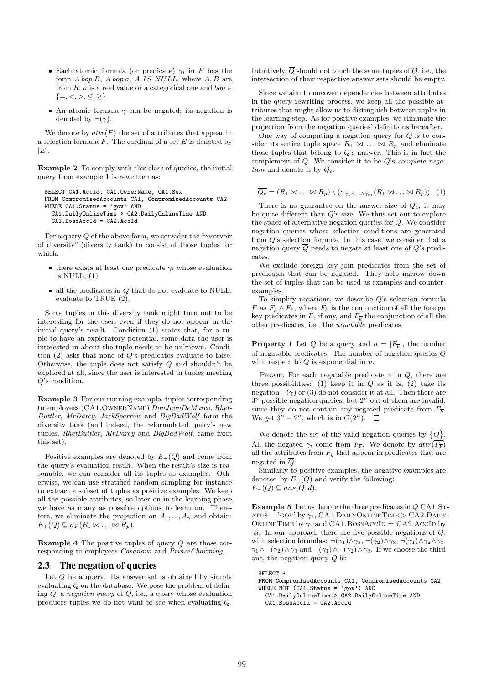- Each atomic formula (or predicate)  $\gamma_i$  in F has the form  $A$  bop  $B$ ,  $A$  bop  $a$ ,  $A$  IS NULL, where  $A$ ,  $B$  are from R, a is a real value or a categorical one and  $bop \in$  $\{ =, <, >, \le, \ge \}$
- An atomic formula  $\gamma$  can be negated; its negation is denoted by  $\neg(\gamma)$ .

We denote by  $attr(F)$  the set of attributes that appear in a selection formula  $F$ . The cardinal of a set  $E$  is denoted by  $|E|$ .

Example 2 To comply with this class of queries, the initial query from example 1 is rewritten as:

```
SELECT CA1.AccId, CA1.OwnerName, CA1.Sex
FROM CompromisedAccounts CA1, CompromisedAccounts CA2
WHERE CA1.Status = 'gov' AND
  CA1.DailyOnlineTime > CA2.DailyOnlineTime AND
  CA1.BossAccId = CA2.AccId
```
For a query Q of the above form, we consider the "reservoir of diversity" (diversity tank) to consist of those tuples for which:

- there exists at least one predicate  $\gamma_i$  whose evaluation is NULL;  $(1)$
- $\bullet$  all the predicates in  $Q$  that do not evaluate to NULL, evaluate to TRUE (2).

Some tuples in this diversity tank might turn out to be interesting for the user, even if they do not appear in the initial query's result. Condition (1) states that, for a tuple to have an exploratory potential, some data the user is interested in about the tuple needs to be unknown. Condition  $(2)$  asks that none of  $Q$ 's predicates evaluate to false. Otherwise, the tuple does not satisfy Q and shouldn't be explored at all, since the user is interested in tuples meeting Q's condition.

Example 3 For our running example, tuples corresponding to employees (CA1.OwnerName) DonJuanDeMarco, Rhet-Buttler, MrDarcy, JackSparrow and BigBadWolf form the diversity tank (and indeed, the reformulated query's new tuples, RhetButtler, MrDarcy and BigBadWolf, came from this set).

Positive examples are denoted by  $E_{+}(Q)$  and come from the query's evaluation result. When the result's size is reasonable, we can consider all its tuples as examples. Otherwise, we can use stratified random sampling for instance to extract a subset of tuples as positive examples. We keep all the possible attributes, so later on in the learning phase we have as many as possible options to learn on. Therefore, we eliminate the projection on  $A_1, ..., A_n$  and obtain:  $E_{+}(Q) \subseteq \sigma_F(R_1 \bowtie \ldots \bowtie R_p).$ 

Example 4 The positive tuples of query Q are those corresponding to employees Casanova and PrinceCharming.

# 2.3 The negation of queries

Let  $Q$  be a query. Its answer set is obtained by simply evaluating Q on the database. We pose the problem of defining  $\overline{Q}$ , a negation query of  $Q$ , i.e., a query whose evaluation produces tuples we do not want to see when evaluating Q. Intuitively,  $\overline{Q}$  should not touch the same tuples of  $Q$ , i.e., the intersection of their respective answer sets should be empty.

Since we aim to uncover dependencies between attributes in the query rewriting process, we keep all the possible attributes that might allow us to distinguish between tuples in the learning step. As for positive examples, we eliminate the projection from the negation queries' definitions hereafter.

One way of computing a negation query for  $Q$  is to consider its entire tuple space  $R_1 \bowtie \ldots \bowtie R_p$  and eliminate those tuples that belong to  $Q$ 's answer. This is in fact the complement of  $Q$ . We consider it to be  $Q$ 's *complete nega*tion and denote it by  $\overline{Q_c}$ :

$$
\overline{Q_c} = (R_1 \otimes \ldots \otimes R_p) \setminus (\sigma_{\gamma_1 \wedge \ldots \wedge \gamma_m} (R_1 \otimes \ldots \otimes R_p)) \quad (1)
$$

There is no guarantee on the answer size of  $\overline{Q_c}$ ; it may be quite different than Q's size. We thus set out to explore the space of alternative negation queries for  $Q$ . We consider negation queries whose selection conditions are generated from Q's selection formula. In this case, we consider that a negation query  $\overline{Q}$  needs to negate at least one of  $Q$ 's predicates.

We exclude foreign key join predicates from the set of predicates that can be negated. They help narrow down the set of tuples that can be used as examples and counterexamples.

To simplify notations, we describe Q's selection formula F as  $F_{\overline{k}} \wedge F_k$ , where  $F_k$  is the conjunction of all the foreign key predicates in F, if any, and  $F_{\overline{k}}$  the conjunction of all the other predicates, i.e., the negatable predicates.

**Property 1** Let Q be a query and  $n = |F_{\overline{k}}|$ , the number of negatable predicates. The number of negation queries  $\overline{O}$ with respect to  $Q$  is exponential in  $n$ .

PROOF. For each negatable predicate  $\gamma$  in  $Q$ , there are three possibilities: (1) keep it in  $\overline{Q}$  as it is, (2) take its negation  $\neg(\gamma)$  or (3) do not consider it at all. Then there are  $3<sup>n</sup>$  possible negation queries, but  $2<sup>n</sup>$  out of them are invalid, since they do not contain any negated predicate from  $F_{\overline{k}}$ . We get  $3^n - 2^n$ , which is in  $O(2^n)$ .

We denote the set of the valid negation queries by  $\{\overline{Q}\}\$ . All the negated  $\gamma_i$  come from  $F_{\overline{k}}$ . We denote by  $attr(F_{\overline{k}})$ all the attributes from  $F_{\overline{k}}$  that appear in predicates that are negated in  $\overline{Q}$ .

Similarly to positive examples, the negative examples are denoted by  $E_-(Q)$  and verify the following:  $E-(Q) \subseteq ans(\overline{Q},d).$ 

Example 5 Let us denote the three predicates in  $Q \text{ CA1.ST-}$  $ATUS = 'GOV' by \gamma_1, CA1.DAILYONLINETIME > CA2.DALLY-$ ONLINETIME by  $\gamma_2$  and CA1.BossAccID = CA2.AccID by  $\gamma$ 3. In our approach there are five possible negations of  $Q$ , with selection formulas:  $\neg(\gamma_1) \land \gamma_3, \neg(\gamma_2) \land \gamma_3, \neg(\gamma_1) \land \gamma_2 \land \gamma_3$  $\gamma_1 \wedge \neg(\gamma_2) \wedge \gamma_3$  and  $\neg(\gamma_1) \wedge \neg(\gamma_2) \wedge \gamma_3$ . If we choose the third one, the negation query  $\overline{Q}$  is:

SELECT \* FROM CompromisedAccounts CA1, CompromisedAccounts CA2 WHERE NOT  $(CA1.Status = 'gov')$  AND CA1.DailyOnlineTime > CA2.DailyOnlineTime AND CA1.BossAccId = CA2.AccId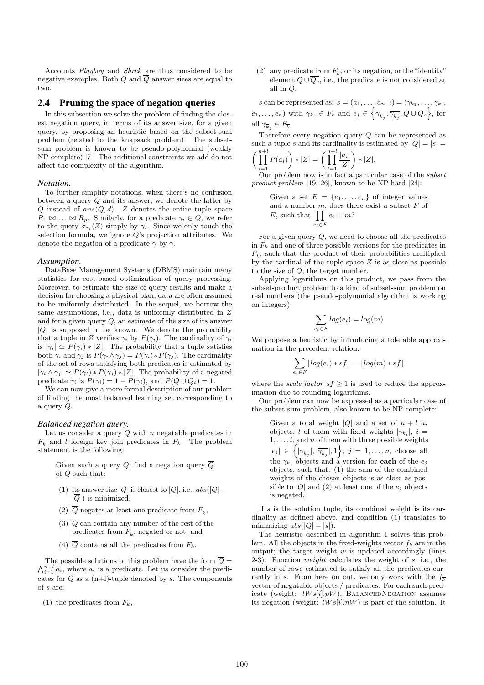Accounts Playboy and Shrek are thus considered to be negative examples. Both Q and  $\overline{Q}$  answer sizes are equal to two.

## 2.4 Pruning the space of negation queries

In this subsection we solve the problem of finding the closest negation query, in terms of its answer size, for a given query, by proposing an heuristic based on the subset-sum problem (related to the knapsack problem). The subsetsum problem is known to be pseudo-polynomial (weakly NP-complete) [7]. The additional constraints we add do not affect the complexity of the algorithm.

#### *Notation.*

To further simplify notations, when there's no confusion between a query Q and its answer, we denote the latter by  $Q$  instead of  $ans(Q, d)$ . Z denotes the entire tuple space  $R_1 \bowtie \ldots \bowtie R_p$ . Similarly, for a predicate  $\gamma_i \in Q$ , we refer to the query  $\sigma_{\gamma_i}(Z)$  simply by  $\gamma_i$ . Since we only touch the selection formula, we ignore  $Q$ 's projection attributes. We denote the negation of a predicate  $\gamma$  by  $\overline{\gamma}$ .

#### *Assumption.*

DataBase Management Systems (DBMS) maintain many statistics for cost-based optimization of query processing. Moreover, to estimate the size of query results and make a decision for choosing a physical plan, data are often assumed to be uniformly distributed. In the sequel, we borrow the same assumptions, i.e., data is uniformly distributed in Z and for a given query  $Q$ , an estimate of the size of its answer  $|Q|$  is supposed to be known. We denote the probability that a tuple in Z verifies  $\gamma_i$  by  $P(\gamma_i)$ . The cardinality of  $\gamma_i$ is  $|\gamma_i| \simeq P(\gamma_i) * |Z|$ . The probability that a tuple satisfies both  $\gamma_i$  and  $\gamma_j$  is  $P(\gamma_i \wedge \gamma_j) = P(\gamma_i) * P(\gamma_j)$ . The cardinality of the set of rows satisfying both predicates is estimated by  $|\gamma_i \wedge \gamma_j| \simeq P(\gamma_i) * P(\gamma_j) * |Z|.$  The probability of a negated predicate  $\overline{\gamma_i}$  is  $P(\overline{\gamma_i}) = 1 - P(\gamma_i)$ , and  $P(Q \cup \overline{Q_c}) = 1$ .

We can now give a more formal description of our problem of finding the most balanced learning set corresponding to a query Q.

### *Balanced negation query.*

Let us consider a query  $Q$  with  $n$  negatable predicates in  $F_{\overline{k}}$  and l foreign key join predicates in  $F_k$ . The problem statement is the following:

Given such a query Q, find a negation query  $\overline{Q}$ of Q such that:

- (1) its answer size  $|\overline{Q}|$  is closest to  $|Q|$ , i.e.,  $abs(|Q|-\$  $|\overline{Q}|$ ) is minimized,
- (2)  $Q$  negates at least one predicate from  $F_{\overline{k}}$ ,
- (3)  $\overline{Q}$  can contain any number of the rest of the predicates from  $F_{\overline{k}}$ , negated or not, and
- (4)  $\overline{Q}$  contains all the predicates from  $F_k$ .

 $\bigwedge_{i=1}^{n+l} a_i$ , where  $a_i$  is a predicate. Let us consider the predi-The possible solutions to this problem have the form  $\overline{Q} =$ cates for  $\overline{Q}$  as a (n+l)-tuple denoted by s. The components of s are:

(1) the predicates from  $F_k$ ,

(2) any predicate from  $F_{\overline{k}}$ , or its negation, or the "identity" element  $Q \cup \overline{Q_c}$ , i.e., the predicate is not considered at all in  $\overline{Q}$ .

s can be represented as:  $s = (a_1, \ldots, a_{n+l}) = (\gamma_{k_1}, \ldots, \gamma_{k_l},$  $(e_1,\ldots,e_n)$  with  $\gamma_{k_i} \in F_k$  and  $e_j \in \left\{\gamma_{\overline{k}_j},\overline{\gamma_{\overline{k}_j}},Q\cup\overline{Q_c}\right\}$ , for all  $\gamma_{\overline{k}_j} \in F_{\overline{k}}$ .

Therefore every negation query  $\overline{Q}$  can be represented as such a tuple s and its cardinality is estimated by  $|\overline{Q}| = |s|$  $\prod^{n+l}$  $P(a_i)\bigg) * |Z| = \bigg(\prod^{n+l}$  $|a_i|$  $|Z|$  $\Bigr) * |Z|.$ 

 $i=1$  $i=1$ Our problem now is in fact a particular case of the subset product problem [19, 26], known to be NP-hard [24]:

Given a set  $E = \{e_1, \ldots, e_n\}$  of integer values and a number  $m$ , does there exist a subset  $F$  of E, such that  $\prod$  $e_i \in F$  $e_i = m$ ?

For a given query  $Q$ , we need to choose all the predicates in  $F_k$  and one of three possible versions for the predicates in  $F_{\overline{k}}$ , such that the product of their probabilities multiplied by the cardinal of the tuple space  $Z$  is as close as possible to the size of Q, the target number.

Applying logarithms on this product, we pass from the subset-product problem to a kind of subset-sum problem on real numbers (the pseudo-polynomial algorithm is working on integers).

$$
\sum_{e_i \in F} log(e_i) = log(m)
$$

We propose a heuristic by introducing a tolerable approximation in the precedent relation:

$$
\sum_{e_i \in F} \lfloor log(e_i)*sf \rfloor = \lfloor log(m)*sf \rfloor
$$

where the *scale factor*  $sf \geq 1$  is used to reduce the approximation due to rounding logarithms.

Our problem can now be expressed as a particular case of the subset-sum problem, also known to be NP-complete:

Given a total weight |Q| and a set of  $n + l$   $a_i$ objects, l of them with fixed weights  $|\gamma_{k_i}|$ , i =  $1, \ldots, l$ , and n of them with three possible weights  $|e_j| \in \left\{ |\gamma_{\overline{k}_j}|, |\overline{\gamma_{\overline{k}_j}}|, 1 \right\}, \ j = 1, \ldots, n$ , choose all the  $\gamma_{k_i}$  objects and a version for **each** of the  $e_j$ objects, such that: (1) the sum of the combined weights of the chosen objects is as close as possible to |Q| and (2) at least one of the  $e_i$  objects is negated.

If  $s$  is the solution tuple, its combined weight is its cardinality as defined above, and condition (1) translates to minimizing  $abs(|Q| - |s|)$ .

The heuristic described in algorithm 1 solves this problem. All the objects in the fixed-weights vector  $f_k$  are in the output; the target weight  $w$  is updated accordingly (lines 2-3). Function *weight* calculates the weight of  $s$ , i.e., the number of rows estimated to satisfy all the predicates currently in s. From here on out, we only work with the  $f_{\overline{k}}$ vector of negatable objects / predicates. For each such predicate (weight:  $lWs[i].pW$ ), BALANCEDNEGATION assumes its negation (weight:  $lWs[i].nW$ ) is part of the solution. It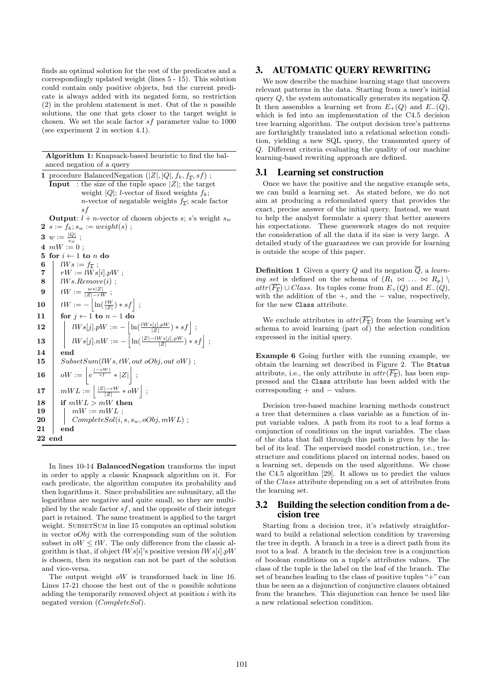finds an optimal solution for the rest of the predicates and a correspondingly updated weight (lines 5 - 15). This solution could contain only positive objects, but the current predicate is always added with its negated form, so restriction  $(2)$  in the problem statement is met. Out of the *n* possible solutions, the one that gets closer to the target weight is chosen. We set the scale factor sf parameter value to 1000 (see experiment 2 in section 4.1).

| <b>Algorithm 1:</b> Knapsack-based heuristic to find the bal-          |
|------------------------------------------------------------------------|
| anced negation of a query                                              |
| 1 procedure BalancedNegation $( Z ,  Q , f_k, f_{\overline{k}}, sf)$ ; |

|                | <b>Input</b> : the size of the tuple space $ Z $ ; the target                  |
|----------------|--------------------------------------------------------------------------------|
|                | weight  Q ; <i>l</i> -vector of fixed weights $f_k$ ;                          |
|                | <i>n</i> -vector of negatable weights $f_{\overline{k}}$ ; scale factor        |
|                | s f                                                                            |
|                | <b>Output</b> : $l + n$ -vector of chosen objects s; s's weight s <sub>w</sub> |
|                | <b>2</b> $s := f_k; s_w := weight(s)$ ;                                        |
|                | 3 $w := \frac{ Q }{s}$ ;                                                       |
|                | $4 \, mW := 0:$                                                                |
| 5.             | for $i \leftarrow 1$ to n do                                                   |
| 6              | $lWs := f_{\overline{k}};$                                                     |
| $\overline{7}$ | $rW := lWs[i].pW;$                                                             |
| 8              | $lWs. Remove(i)$ ;                                                             |
|                |                                                                                |
| 9              | $tW := \frac{w* Z }{ Z -rW}$ ;                                                 |
| 10             | $tW := - \left  \ln(\frac{tW}{ Z }) * sf \right  ;$                            |
| 11             | for $j \leftarrow 1$ to $n-1$ do                                               |
| 12             | $lWs[j].pW := -\left[\ln(\frac{lWs[j].pW}{ Z }) * sf\right];$                  |
| 13             | $lWs[j].nW := -\left[\ln(\frac{ Z -lWs[j].pW}{ Z }) * sf\right];$              |
| 14             | end                                                                            |
| 15             | SubsetSum(lWs, tW, out oObj, out oW);                                          |
| 16             | $oW := \left  e^{\frac{(-oW)}{sf}} *  Z  \right  ;$                            |
| 17             | $mWL := \left  \frac{ Z -rW}{ Z } * \omega W \right  ;$                        |
| 18             | if $mWL > mW$ then                                                             |
| 19             | $mW := mWL;$                                                                   |
| 20             | $CompleteSol(i, s, s_w, oObj, mWL)$ ;                                          |

In lines 10-14 BalancedNegation transforms the input in order to apply a classic Knapsack algorithm on it. For each predicate, the algorithm computes its probability and then logarithms it. Since probabilities are subunitary, all the logarithms are negative and quite small, so they are multiplied by the scale factor  $sf$ , and the opposite of their integer part is retained. The same treatment is applied to the target weight. SUBSETSUM in line 15 computes an optimal solution in vector  $oObj$  with the corresponding sum of the solution subset in  $\partial W \leq tW$ . The only difference from the classic algorithm is that, if object  $lWs[i]$ 's positive version  $lWs[i].pW$ is chosen, then its negation can not be part of the solution and vice-versa.

21 end 22 end

> The output weight oW is transformed back in line 16. Lines  $17-21$  choose the best out of the n possible solutions adding the temporarily removed object at position  $i$  with its negated version (CompleteSol).

# 3. AUTOMATIC QUERY REWRITING

We now describe the machine learning stage that uncovers relevant patterns in the data. Starting from a user's initial query Q, the system automatically generates its negation  $\overline{Q}$ . It then assembles a learning set from  $E_+(Q)$  and  $E_-(Q)$ , which is fed into an implementation of the C4.5 decision tree learning algorithm. The output decision tree's patterns are forthrightly translated into a relational selection condition, yielding a new SQL query, the transmuted query of Q. Different criteria evaluating the quality of our machine learning-based rewriting approach are defined.

## 3.1 Learning set construction

Once we have the positive and the negative example sets, we can build a learning set. As stated before, we do not aim at producing a reformulated query that provides the exact, precise answer of the initial query. Instead, we want to help the analyst formulate a query that better answers his expectations. These guesswork stages do not require the consideration of all the data if its size is very large. A detailed study of the guarantees we can provide for learning is outside the scope of this paper.

**Definition 1** Given a query Q and its negation  $\overline{Q}$ , a learning set is defined on the schema of  $(R_1 \bowtie ... \bowtie R_p)$  $attr(F_{\overline{k}}) \cup Class.$  Its tuples come from  $E_+(Q)$  and  $E_-(Q)$ , with the addition of the  $+$ , and the  $-$  value, respectively, for the new Class attribute.

We exclude attributes in  $attr(F_{\overline{k}})$  from the learning set's schema to avoid learning (part of) the selection condition expressed in the initial query.

Example 6 Going further with the running example, we obtain the learning set described in Figure 2. The Status attribute, i.e., the only attribute in  $attr(F_{\overline{k}})$ , has been suppressed and the Class attribute has been added with the corresponding + and − values.

Decision tree-based machine learning methods construct a tree that determines a class variable as a function of input variable values. A path from its root to a leaf forms a conjunction of conditions on the input variables. The class of the data that fall through this path is given by the label of its leaf. The supervised model construction, i.e., tree structure and conditions placed on internal nodes, based on a learning set, depends on the used algorithms. We chose the C4.5 algorithm [29]. It allows us to predict the values of the Class attribute depending on a set of attributes from the learning set.

# 3.2 Building the selection condition from a decision tree

Starting from a decision tree, it's relatively straightforward to build a relational selection condition by traversing the tree in depth. A branch in a tree is a direct path from its root to a leaf. A branch in the decision tree is a conjunction of boolean conditions on a tuple's attributes values. The class of the tuple is the label on the leaf of the branch. The set of branches leading to the class of positive tuples "+" can thus be seen as a disjunction of conjunctive clauses obtained from the branches. This disjunction can hence be used like a new relational selection condition.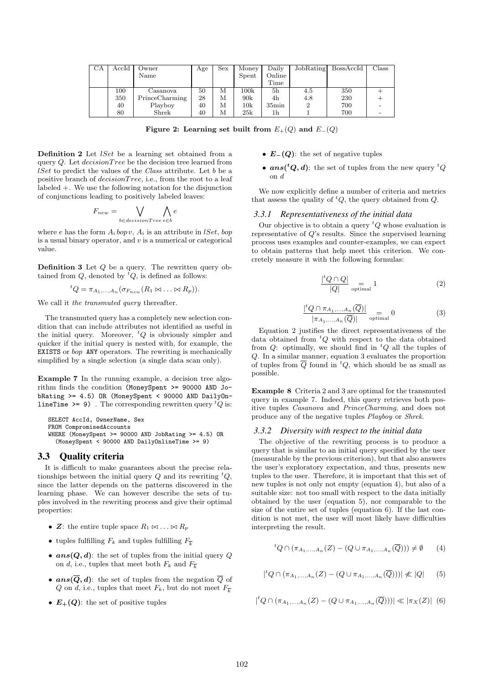| $_{\rm CA}$ | $\rm AccId$ | Owner          | Age | Sex | Money           | Daily          | JobRating | BossAccId | Class |
|-------------|-------------|----------------|-----|-----|-----------------|----------------|-----------|-----------|-------|
|             |             | Name           |     |     | Spent           | Online         |           |           |       |
|             |             |                |     |     |                 | Time           |           |           |       |
|             | 100         | Casanova       | 50  | м   | $100\mathrm{k}$ | 5 <sub>h</sub> | 4.5       | 350       |       |
|             | 350         | PrinceCharming | 28  | М   | 90k             | 4h             | 4.8       | 230       |       |
|             | 40          | Playboy        | 40  | М   | $10\mathrm{k}$  | $35\text{min}$ |           | 700       |       |
|             | 80          | Shrek          | 40  | М   | 25k             | 1h             |           | 700       |       |

Figure 2: Learning set built from  $E_+(Q)$  and  $E_-(Q)$ 

Definition 2 Let *lSet* be a learning set obtained from a query  $Q$ . Let  $decisionTree$  be the decision tree learned from  $lSet$  to predict the values of the *Class* attribute. Let  $b$  be a positive branch of  $decisionTree$ , i.e., from the root to a leaf labeled +. We use the following notation for the disjunction of conjunctions leading to positively labeled leaves:

$$
F_{new} = \bigvee_{b \in decisionTree} \bigwedge_{e \in b} e
$$

where e has the form  $A_i$  bop v,  $A_i$  is an attribute in *lSet*, bop is a usual binary operator, and  $v$  is a numerical or categorical value.

Definition 3 Let Q be a query. The rewritten query obtained from  $Q$ , denoted by  ${}^tQ$ , is defined as follows:

$$
{}^{t}Q = \pi_{A_1,\ldots,A_n}(\sigma_{F_{new}}(R_1 \bowtie \ldots \bowtie R_p)).
$$

We call it the transmuted query thereafter.

The transmuted query has a completely new selection condition that can include attributes not identified as useful in the initial query. Moreover,  ${}^tQ$  is obviously simpler and quicker if the initial query is nested with, for example, the EXISTS or bop ANY operators. The rewriting is mechanically simplified by a single selection (a single data scan only).

Example 7 In the running example, a decision tree algorithm finds the condition (MoneySpent >= 90000 AND JobRating >= 4.5) OR (MoneySpent < 90000 AND DailyOn**lineTime >= 9)**. The corresponding rewritten query  ${}^tQ$  is:

```
SELECT AccId, OwnerName, Sex
FROM CompromisedAccounts
WHERE (MoneySpent >= 90000 AND JobRating >= 4.5) OR
 (MoneySpent < 90000 AND DailyOnlineTime >= 9)
```
# 3.3 Quality criteria

It is difficult to make guarantees about the precise relationships between the initial query  $Q$  and its rewriting  ${}^{t}Q$ , since the latter depends on the patterns discovered in the learning phase. We can however describe the sets of tuples involved in the rewriting process and give their optimal properties:

- Z: the entire tuple space  $R_1 \bowtie \ldots \bowtie R_p$
- tuples fulfilling  $F_k$  and tuples fulfilling  $F_{\overline{k}}$
- $ans(Q, d)$ : the set of tuples from the initial query Q on d, i.e., tuples that meet both  $F_k$  and  $F_{\overline{k}}$
- $ans(\overline{Q}, d)$ : the set of tuples from the negation  $\overline{Q}$  of Q on d, i.e., tuples that meet  $F_k$ , but do not meet  $F_{\overline{k}}$
- $E_{+}(Q)$ : the set of positive tuples
- $E_-(Q)$ : the set of negative tuples
- $ans({}^tQ,d)$ : the set of tuples from the new query  ${}^tQ$ on d

We now explicitly define a number of criteria and metrics that assess the quality of  ${}^tQ$ , the query obtained from  $Q$ .

## *3.3.1 Representativeness of the initial data*

Our objective is to obtain a query  ${}^tQ$  whose evaluation is representative of Q's results. Since the supervised learning process uses examples and counter-examples, we can expect to obtain patterns that help meet this criterion. We concretely measure it with the following formulas:

$$
\frac{{}^{t}Q \cap Q|}{|Q|} \underset{\text{optimal}}{=} 1 \tag{2}
$$

$$
\frac{|^t Q \cap \pi_{A_1,\dots,A_n}(\overline{Q})|}{|\pi_{A_1,\dots,A_n}(\overline{Q})|} \underset{\text{optimal}}{=} 0 \tag{3}
$$

Equation 2 justifies the direct representativeness of the data obtained from  ${}^tQ$  with respect to the data obtained from  $Q$ : optimally, we should find in  ${}^tQ$  all the tuples of Q. In a similar manner, equation 3 evaluates the proportion of tuples from  $\overline{Q}$  found in <sup>t</sup>Q, which should be as small as possible.

Example 8 Criteria 2 and 3 are optimal for the transmuted query in example 7. Indeed, this query retrieves both positive tuples Casanova and PrinceCharming, and does not produce any of the negative tuples Playboy or Shrek.

### *3.3.2 Diversity with respect to the initial data*

The objective of the rewriting process is to produce a query that is similar to an initial query specified by the user (measurable by the previous criterion), but that also answers the user's exploratory expectation, and thus, presents new tuples to the user. Therefore, it is important that this set of new tuples is not only not empty (equation 4), but also of a suitable size: not too small with respect to the data initially obtained by the user (equation 5), nor comparable to the size of the entire set of tuples (equation 6). If the last condition is not met, the user will most likely have difficulties interpreting the result.

$$
{}^{t}Q \cap (\pi_{A_1,\ldots,A_n}(Z) - (Q \cup \pi_{A_1,\ldots,A_n}(\overline{Q}))) \neq \emptyset \qquad (4)
$$

$$
|{}^{t}Q \cap (\pi_{A_1,...,A_n}(Z) - (Q \cup \pi_{A_1,...,A_n}(\overline{Q})))| \not\ll |Q|
$$
 (5)

$$
|{}^{t}Q \cap (\pi_{A_1,...,A_n}(Z) - (Q \cup \pi_{A_1,...,A_n}(\overline{Q})))| \ll |\pi_X(Z)| \;\; (6)
$$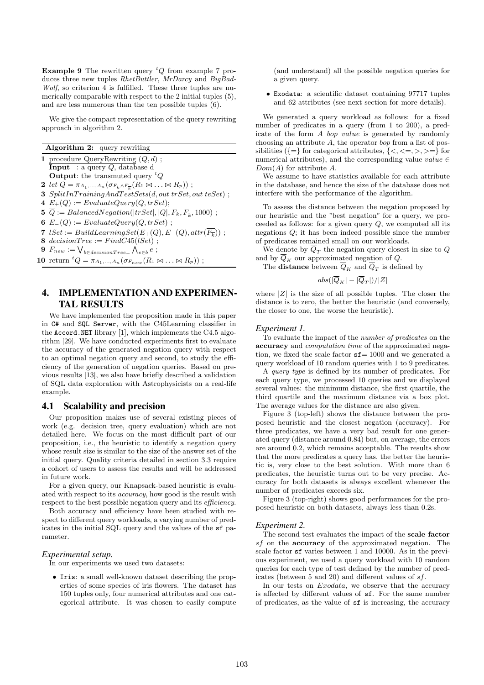**Example 9** The rewritten query  ${}^tQ$  from example 7 produces three new tuples RhetButtler, MrDarcy and BigBad-Wolf, so criterion 4 is fulfilled. These three tuples are numerically comparable with respect to the 2 initial tuples (5), and are less numerous than the ten possible tuples (6).

We give the compact representation of the query rewriting approach in algorithm 2.

| <b>Algorithm 2:</b> query rewriting                                                             |
|-------------------------------------------------------------------------------------------------|
| 1 procedure QueryRewriting $(Q, d)$ ;                                                           |
| Input : a query $Q$ , database d                                                                |
| <b>Output:</b> the transmuted query ${}^tQ$                                                     |
| 2 let $Q = \pi_{A_1,,A_n}(\sigma_{F_k \wedge F_{\overline{k}}}(R_1 \bowtie  \bowtie R_p))$ ;    |
| $3$ SplitInTrainingAndTestSets(d, out trSet, out teSet);                                        |
| 4 $E_{+}(Q) := EvaluateQuery(Q, trSet);$                                                        |
| 5 $\overline{Q} := \text{BalancedNegation}( \text{trSet} ,  Q , F_k, F_{\overline{k}}, 1000)$ ; |
| 6 $E_{-}(Q) := EvaluateQuery(Q, trSet)$ ;                                                       |
| 7 $ISet := BuildLearningSet(E_{+}(Q), E_{-}(Q), attr(\overline{F_{\overline{k}}}))$ ;           |
| 8 decisionTree := $FindC45(1Set)$ ;                                                             |
| 9 $F_{new} := \bigvee_{b \in decisionTree_+} \bigwedge_{e \in b} e$ ;                           |
| 10 return ${}^tQ = \pi_{A_1,,A_n}(\sigma_{F_{new}}(R_1 \bowtie  \bowtie R_p))$ ;                |
|                                                                                                 |

# 4. IMPLEMENTATION AND EXPERIMEN-TAL RESULTS

We have implemented the proposition made in this paper in C# and SQL Server, with the C45Learning classifier in the Accord.NET library [1], which implements the C4.5 algorithm [29]. We have conducted experiments first to evaluate the accuracy of the generated negation query with respect to an optimal negation query and second, to study the efficiency of the generation of negation queries. Based on previous results [13], we also have briefly described a validation of SQL data exploration with Astrophysicists on a real-life example.

# 4.1 Scalability and precision

Our proposition makes use of several existing pieces of work (e.g. decision tree, query evaluation) which are not detailed here. We focus on the most difficult part of our proposition, i.e., the heuristic to identify a negation query whose result size is similar to the size of the answer set of the initial query. Quality criteria detailed in section 3.3 require a cohort of users to assess the results and will be addressed in future work.

For a given query, our Knapsack-based heuristic is evaluated with respect to its accuracy, how good is the result with respect to the best possible negation query and its efficiency.

Both accuracy and efficiency have been studied with respect to different query workloads, a varying number of predicates in the initial SQL query and the values of the sf parameter.

## *Experimental setup.*

In our experiments we used two datasets:

• Iris: a small well-known dataset describing the properties of some species of iris flowers. The dataset has 150 tuples only, four numerical attributes and one categorical attribute. It was chosen to easily compute

(and understand) all the possible negation queries for a given query.

• Exodata: a scientific dataset containing 97717 tuples and 62 attributes (see next section for more details).

We generated a query workload as follows: for a fixed number of predicates in a query (from 1 to 200), a predicate of the form A bop value is generated by randomly choosing an attribute A, the operator bop from a list of possibilities  $\{\equiv\}$  for categorical attributes,  $\{\leq,\leq=,\geq,\geq=\}\$  for numerical attributes), and the corresponding value value  $\in$  $Dom(A)$  for attribute A.

We assume to have statistics available for each attribute in the database, and hence the size of the database does not interfere with the performance of the algorithm.

To assess the distance between the negation proposed by our heuristic and the "best negation" for a query, we proceeded as follows: for a given query  $Q$ , we computed all its negations  $\overline{Q}$ ; it has been indeed possible since the number of predicates remained small on our workloads.

We denote by  $Q_T$  the negation query closest in size to  $Q$ and by  $Q_K$  our approximated negation of  $Q$ .

The **distance** between  $Q_K$  and  $Q_T$  is defined by

$$
abs(|\overline{Q}_K|-|\overline{Q}_T|)/|Z|
$$

where  $|Z|$  is the size of all possible tuples. The closer the distance is to zero, the better the heuristic (and conversely, the closer to one, the worse the heuristic).

#### *Experiment 1.*

To evaluate the impact of the number of predicates on the accuracy and computation time of the approximated negation, we fixed the scale factor  $sf= 1000$  and we generated a query workload of 10 random queries with 1 to 9 predicates.

A query type is defined by its number of predicates. For each query type, we processed 10 queries and we displayed several values: the minimum distance, the first quartile, the third quartile and the maximum distance via a box plot. The average values for the distance are also given.

Figure 3 (top-left) shows the distance between the proposed heuristic and the closest negation (accuracy). For three predicates, we have a very bad result for one generated query (distance around 0.84) but, on average, the errors are around 0.2, which remains acceptable. The results show that the more predicates a query has, the better the heuristic is, very close to the best solution. With more than 6 predicates, the heuristic turns out to be very precise. Accuracy for both datasets is always excellent whenever the number of predicates exceeds six.

Figure 3 (top-right) shows good performances for the proposed heuristic on both datasets, always less than 0.2s.

## *Experiment 2.*

The second test evaluates the impact of the scale factor sf on the accuracy of the approximated negation. The scale factor sf varies between 1 and 10000. As in the previous experiment, we used a query workload with 10 random queries for each type of test defined by the number of predicates (between 5 and 20) and different values of sf.

In our tests on *Exodata*, we observe that the accuracy is affected by different values of sf. For the same number of predicates, as the value of sf is increasing, the accuracy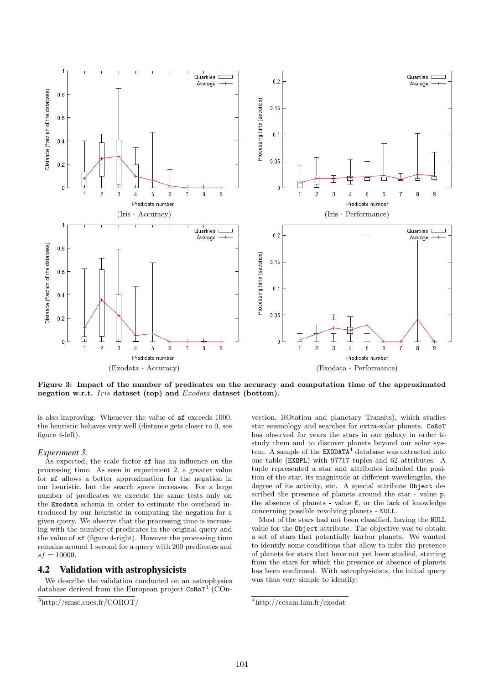

Figure 3: Impact of the number of predicates on the accuracy and computation time of the approximated negation w.r.t. Iris dataset (top) and Exodata dataset (bottom).

is also improving. Whenever the value of sf exceeds 1000, the heuristic behaves very well (distance gets closer to 0, see figure 4-left).

## *Experiment 3.*

As expected, the scale factor sf has an influence on the processing time. As seen in experiment 2, a greater value for sf allows a better approximation for the negation in our heuristic, but the search space increases. For a large number of predicates we execute the same tests only on the Exodata schema in order to estimate the overhead introduced by our heuristic in computing the negation for a given query. We observe that the processing time is increasing with the number of predicates in the original query and the value of sf (figure 4-right). However the processing time remains around 1 second for a query with 200 predicates and  $sf = 10000$ .

# 4.2 Validation with astrophysicists

We describe the validation conducted on an astrophysics database derived from the European project CoRoT<sup>3</sup> (COn-

vection, ROtation and planetary Transits), which studies star seismology and searches for extra-solar planets. CoRoT has observed for years the stars in our galaxy in order to study them and to discover planets beyond our solar system. A sample of the  $EXODATA<sup>4</sup>$  database was extracted into one table (EXOPL) with 97717 tuples and 62 attributes. A tuple represented a star and attributes included the position of the star, its magnitude at different wavelengths, the degree of its activity, etc. A special attribute Object described the presence of planets around the star - value p, the absence of planets - value E, or the lack of knowledge concerning possible revolving planets - NULL.

Most of the stars had not been classified, having the NULL value for the Object attribute. The objective was to obtain a set of stars that potentially harbor planets. We wanted to identify some conditions that allow to infer the presence of planets for stars that have not yet been studied, starting from the stars for which the presence or absence of planets has been confirmed. With astrophysicists, the initial query was thus very simple to identify:

 $\frac{3}{3}$ http://smsc.cnes.fr/COROT/

<sup>4</sup>http://cesam.lam.fr/exodat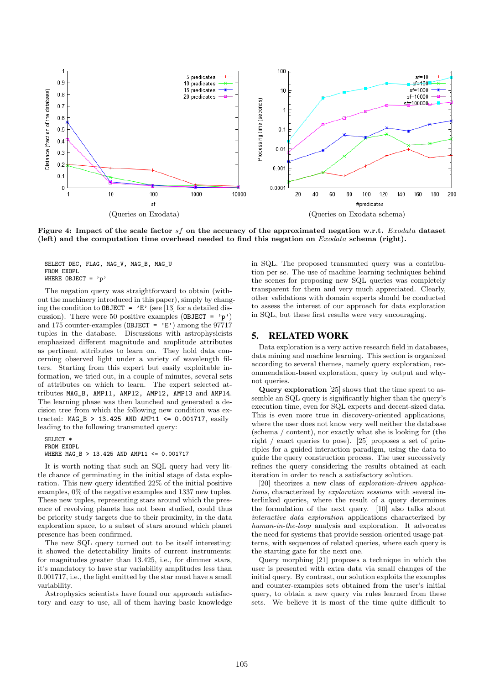

Figure 4: Impact of the scale factor sf on the accuracy of the approximated negation w.r.t. Exodata dataset (left) and the computation time overhead needed to find this negation on  $Exodata$  schema (right).

SELECT DEC, FLAG, MAG\_V, MAG\_B, MAG\_U FROM EXOPL WHERE OBJECT =  $'p'$ 

The negation query was straightforward to obtain (without the machinery introduced in this paper), simply by changing the condition to **OBJECT** =  $E'$  (see [13] for a detailed discussion). There were 50 positive examples (OBJECT =  $'p'$ ) and 175 counter-examples (OBJECT =  $\vec{E}$ ) among the 97717 tuples in the database. Discussions with astrophysicists emphasized different magnitude and amplitude attributes as pertinent attributes to learn on. They hold data concerning observed light under a variety of wavelength filters. Starting from this expert but easily exploitable information, we tried out, in a couple of minutes, several sets of attributes on which to learn. The expert selected attributes MAG\_B, AMP11, AMP12, AMP12, AMP13 and AMP14. The learning phase was then launched and generated a decision tree from which the following new condition was extracted: MAG\_B > 13.425 AND AMP11 <= 0.001717, easily leading to the following transmuted query:

SELECT \* FROM EXOPL WHERE MAG\_B > 13.425 AND AMP11 <= 0.001717

It is worth noting that such an SQL query had very little chance of germinating in the initial stage of data exploration. This new query identified 22% of the initial positive examples, 0% of the negative examples and 1337 new tuples. These new tuples, representing stars around which the presence of revolving planets has not been studied, could thus be priority study targets due to their proximity, in the data exploration space, to a subset of stars around which planet presence has been confirmed.

The new SQL query turned out to be itself interesting: it showed the detectability limits of current instruments: for magnitudes greater than 13.425, i.e., for dimmer stars, it's mandatory to have star variability amplitudes less than 0.001717, i.e., the light emitted by the star must have a small variability.

Astrophysics scientists have found our approach satisfactory and easy to use, all of them having basic knowledge in SQL. The proposed transmuted query was a contribution per se. The use of machine learning techniques behind the scenes for proposing new SQL queries was completely transparent for them and very much appreciated. Clearly, other validations with domain experts should be conducted to assess the interest of our approach for data exploration in SQL, but these first results were very encouraging.

# 5. RELATED WORK

Data exploration is a very active research field in databases, data mining and machine learning. This section is organized according to several themes, namely query exploration, recommendation-based exploration, query by output and whynot queries.

Query exploration [25] shows that the time spent to assemble an SQL query is significantly higher than the query's execution time, even for SQL experts and decent-sized data. This is even more true in discovery-oriented applications, where the user does not know very well neither the database (schema / content), nor exactly what she is looking for (the right / exact queries to pose). [25] proposes a set of principles for a guided interaction paradigm, using the data to guide the query construction process. The user successively refines the query considering the results obtained at each iteration in order to reach a satisfactory solution.

[20] theorizes a new class of exploration-driven applications, characterized by exploration sessions with several interlinked queries, where the result of a query determines the formulation of the next query. [10] also talks about interactive data exploration applications characterized by human-in-the-loop analysis and exploration. It advocates the need for systems that provide session-oriented usage patterns, with sequences of related queries, where each query is the starting gate for the next one.

Query morphing [21] proposes a technique in which the user is presented with extra data via small changes of the initial query. By contrast, our solution exploits the examples and counter-examples sets obtained from the user's initial query, to obtain a new query via rules learned from these sets. We believe it is most of the time quite difficult to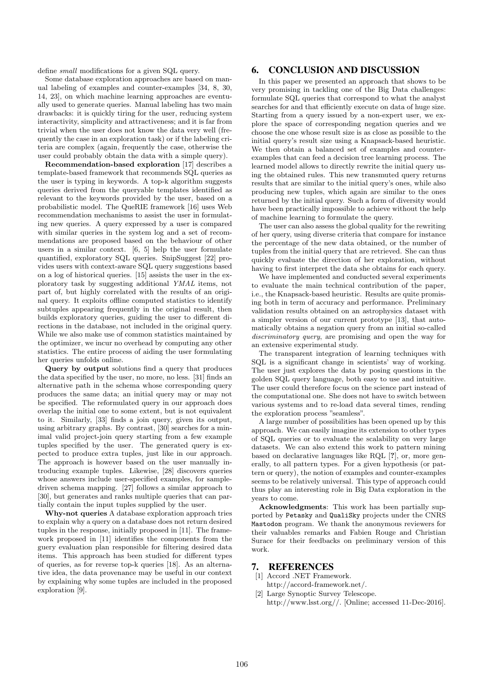define small modifications for a given SQL query.

Some database exploration approaches are based on manual labeling of examples and counter-examples [34, 8, 30, 14, 23], on which machine learning approaches are eventually used to generate queries. Manual labeling has two main drawbacks: it is quickly tiring for the user, reducing system interactivity, simplicity and attractiveness; and it is far from trivial when the user does not know the data very well (frequently the case in an exploration task) or if the labeling criteria are complex (again, frequently the case, otherwise the user could probably obtain the data with a simple query).

Recommendation-based exploration [17] describes a template-based framework that recommends SQL queries as the user is typing in keywords. A top-k algorithm suggests queries derived from the queryable templates identified as relevant to the keywords provided by the user, based on a probabilistic model. The QueRIE framework [16] uses Web recommendation mechanisms to assist the user in formulating new queries. A query expressed by a user is compared with similar queries in the system log and a set of recommendations are proposed based on the behaviour of other users in a similar context. [6, 5] help the user formulate quantified, exploratory SQL queries. SnipSuggest [22] provides users with context-aware SQL query suggestions based on a log of historical queries. [15] assists the user in the exploratory task by suggesting additional YMAL items, not part of, but highly correlated with the results of an original query. It exploits offline computed statistics to identify subtuples appearing frequently in the original result, then builds exploratory queries, guiding the user to different directions in the database, not included in the original query. While we also make use of common statistics maintained by the optimizer, we incur no overhead by computing any other statistics. The entire process of aiding the user formulating her queries unfolds online.

Query by output solutions find a query that produces the data specified by the user, no more, no less. [31] finds an alternative path in the schema whose corresponding query produces the same data; an initial query may or may not be specified. The reformulated query in our approach does overlap the initial one to some extent, but is not equivalent to it. Similarly, [33] finds a join query, given its output, using arbitrary graphs. By contrast, [30] searches for a minimal valid project-join query starting from a few example tuples specified by the user. The generated query is expected to produce extra tuples, just like in our approach. The approach is however based on the user manually introducing example tuples. Likewise, [28] discovers queries whose answers include user-specified examples, for sampledriven schema mapping. [27] follows a similar approach to [30], but generates and ranks multiple queries that can partially contain the input tuples supplied by the user.

Why-not queries A database exploration approach tries to explain why a query on a database does not return desired tuples in the response, initially proposed in [11]. The framework proposed in [11] identifies the components from the guery evaluation plan responsible for filtering desired data items. This approach has been studied for different types of queries, as for reverse top-k queries [18]. As an alternative idea, the data provenance may be useful in our context by explaining why some tuples are included in the proposed exploration [9].

# 6. CONCLUSION AND DISCUSSION

In this paper we presented an approach that shows to be very promising in tackling one of the Big Data challenges: formulate SQL queries that correspond to what the analyst searches for and that efficiently execute on data of huge size. Starting from a query issued by a non-expert user, we explore the space of corresponding negation queries and we choose the one whose result size is as close as possible to the initial query's result size using a Knapsack-based heuristic. We then obtain a balanced set of examples and counterexamples that can feed a decision tree learning process. The learned model allows to directly rewrite the initial query using the obtained rules. This new transmuted query returns results that are similar to the initial query's ones, while also producing new tuples, which again are similar to the ones returned by the initial query. Such a form of diversity would have been practically impossible to achieve without the help of machine learning to formulate the query.

The user can also assess the global quality for the rewriting of her query, using diverse criteria that compare for instance the percentage of the new data obtained, or the number of tuples from the initial query that are retrieved. She can thus quickly evaluate the direction of her exploration, without having to first interpret the data she obtains for each query.

We have implemented and conducted several experiments to evaluate the main technical contribution of the paper, i.e., the Knapsack-based heuristic. Results are quite promising both in term of accuracy and performance. Preliminary validation results obtained on an astrophysics dataset with a simpler version of our current prototype [13], that automatically obtains a negation query from an initial so-called discriminatory query, are promising and open the way for an extensive experimental study.

The transparent integration of learning techniques with SQL is a significant change in scientists' way of working. The user just explores the data by posing questions in the golden SQL query language, both easy to use and intuitive. The user could therefore focus on the science part instead of the computational one. She does not have to switch between various systems and to re-load data several times, rending the exploration process "seamless".

A large number of possibilities has been opened up by this approach. We can easily imagine its extension to other types of SQL queries or to evaluate the scalability on very large datasets. We can also extend this work to pattern mining based on declarative languages like RQL [?], or, more generally, to all pattern types. For a given hypothesis (or pattern or query), the notion of examples and counter-examples seems to be relatively universal. This type of approach could thus play an interesting role in Big Data exploration in the years to come.

Acknowledgments: This work has been partially supported by Petasky and QualiSky projects under the CNRS Mastodon program. We thank the anonymous reviewers for their valuables remarks and Fabien Rouge and Christian Surace for their feedbacks on preliminary version of this work.

# 7. REFERENCES

- [1] Accord .NET Framework. http://accord-framework.net/.
- [2] Large Synoptic Survey Telescope. http://www.lsst.org//. [Online; accessed 11-Dec-2016].